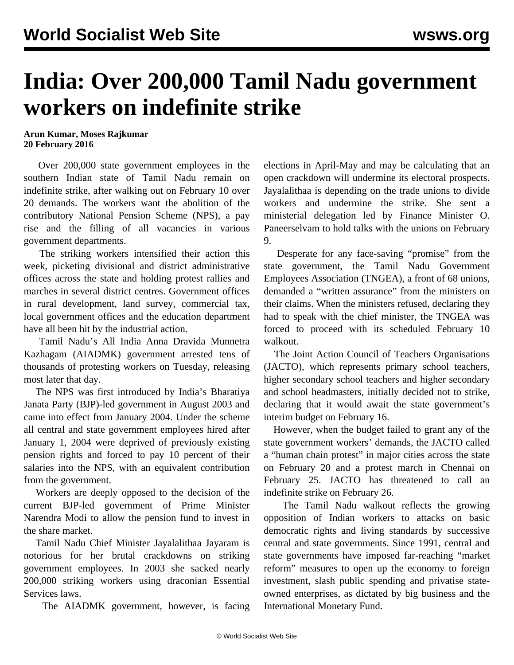## **India: Over 200,000 Tamil Nadu government workers on indefinite strike**

## **Arun Kumar, Moses Rajkumar 20 February 2016**

 Over 200,000 state government employees in the southern Indian state of Tamil Nadu remain on indefinite strike, after walking out on February 10 over 20 demands. The workers want the abolition of the contributory National Pension Scheme (NPS), a pay rise and the filling of all vacancies in various government departments.

 The striking workers intensified their action this week, picketing divisional and district administrative offices across the state and holding protest rallies and marches in several district centres. Government offices in rural development, land survey, commercial tax, local government offices and the education department have all been hit by the industrial action.

 Tamil Nadu's All India Anna Dravida Munnetra Kazhagam (AIADMK) government arrested tens of thousands of protesting workers on Tuesday, releasing most later that day.

 The NPS was first introduced by India's Bharatiya Janata Party (BJP)-led government in August 2003 and came into effect from January 2004. Under the scheme all central and state government employees hired after January 1, 2004 were deprived of previously existing pension rights and forced to pay 10 percent of their salaries into the NPS, with an equivalent contribution from the government.

 Workers are deeply opposed to the decision of the current BJP-led government of Prime Minister Narendra Modi to allow the pension fund to invest in the share market.

 Tamil Nadu Chief Minister Jayalalithaa Jayaram is notorious for her brutal crackdowns on striking government employees. In 2003 she sacked nearly 200,000 striking workers using draconian Essential Services laws.

The AIADMK government, however, is facing

elections in April-May and may be calculating that an open crackdown will undermine its electoral prospects. Jayalalithaa is depending on the trade unions to divide workers and undermine the strike. She sent a ministerial delegation led by Finance Minister O. Paneerselvam to hold talks with the unions on February 9.

 Desperate for any face-saving "promise" from the state government, the Tamil Nadu Government Employees Association (TNGEA), a front of 68 unions, demanded a "written assurance" from the ministers on their claims. When the ministers refused, declaring they had to speak with the chief minister, the TNGEA was forced to proceed with its scheduled February 10 walkout.

 The Joint Action Council of Teachers Organisations (JACTO), which represents primary school teachers, higher secondary school teachers and higher secondary and school headmasters, initially decided not to strike, declaring that it would await the state government's interim budget on February 16.

 However, when the budget failed to grant any of the state government workers' demands, the JACTO called a "human chain protest" in major cities across the state on February 20 and a protest march in Chennai on February 25. JACTO has threatened to call an indefinite strike on February 26.

 The Tamil Nadu walkout reflects the growing opposition of Indian workers to attacks on basic democratic rights and living standards by successive central and state governments. Since 1991, central and state governments have imposed far-reaching "market reform" measures to open up the economy to foreign investment, slash public spending and privatise stateowned enterprises, as dictated by big business and the International Monetary Fund.